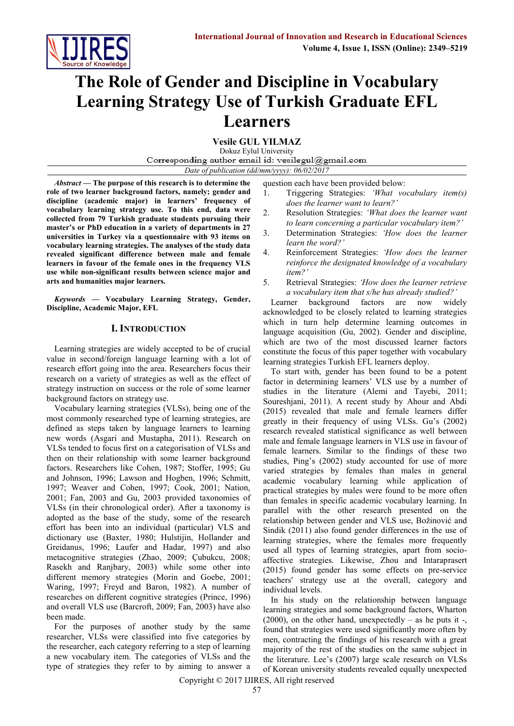

# **The Role of Gender and Discipline in Vocabulary Learning Strategy Use of Turkish Graduate EFL Learners**

**Vesile GUL YILMAZ**

Dokuz Eylul University Corresponding author email id: vesilegul@gmail.com

*Date of publication (dd/mm/yyyy): 06/02/2017*

*Abstract —* **The purpose of this research is to determine the role of two learner background factors, namely; gender and discipline (academic major) in learners' frequency of vocabulary learning strategy use. To this end, data were collected from 79 Turkish graduate students pursuing their master's or PhD education in a variety of departments in 27 universities in Turkey via a questionnaire with 93 items on vocabulary learning strategies. The analyses of the study data revealed significant difference between male and female learners in favour of the female ones in the frequency VLS use while non-significant results between science major and arts and humanities major learners.**

*Keywords —* **Vocabulary Learning Strategy, Gender, Discipline, Academic Major, EFL**

## **I. INTRODUCTION**

Learning strategies are widely accepted to be of crucial value in second/foreign language learning with a lot of research effort going into the area. Researchers focus their research on a variety of strategies as well as the effect of strategy instruction on success or the role of some learner background factors on strategy use.

Vocabulary learning strategies (VLSs), being one of the most commonly researched type of learning strategies, are defined as steps taken by language learners to learning new words (Asgari and Mustapha, 2011). Research on VLSs tended to focus first on a categorisation of VLSs and then on their relationship with some learner background factors. Researchers like Cohen, 1987; Stoffer, 1995; Gu and Johnson, 1996; Lawson and Hogben, 1996; Schmitt, 1997; Weaver and Cohen, 1997; Cook, 2001; Nation, 2001; Fan, 2003 and Gu, 2003 provided taxonomies of VLSs (in their chronological order). After a taxonomy is adopted as the base of the study, some of the research effort has been into an individual (particular) VLS and dictionary use (Baxter, 1980; Hulstijin, Hollander and Greidanus, 1996; Laufer and Hadar, 1997) and also metacognitive strategies (Zhao, 2009; Çubukcu, 2008; Rasekh and Ranjbary, 2003) while some other into different memory strategies (Morin and Goebe, 2001; Waring, 1997; Freyd and Baron, 1982). A number of researches on different cognitive strategies (Prince, 1996) and overall VLS use (Barcroft, 2009; Fan, 2003) have also been made.

For the purposes of another study by the same researcher, VLSs were classified into five categories by the researcher, each category referring to a step of learning a new vocabulary item. The categories of VLSs and the type of strategies they refer to by aiming to answer a question each have been provided below:

- 1. Triggering Strategies: *'What vocabulary item(s) does the learner want to learn?'*
- 2. Resolution Strategies: *'What does the learner want to learn concerning a particular vocabulary item?'*
- 3. Determination Strategies: *'How does the learner learn the word?'*
- 4. Reinforcement Strategies: *'How does the learner reinforce the designated knowledge of a vocabulary item?'*
- 5. Retrieval Strategies: *'How does the learner retrieve a vocabulary item that s/he has already studied?'*

Learner background factors are now widely acknowledged to be closely related to learning strategies which in turn help determine learning outcomes in language acquisition (Gu, 2002). Gender and discipline, which are two of the most discussed learner factors constitute the focus of this paper together with vocabulary learning strategies Turkish EFL learners deploy.

To start with, gender has been found to be a potent factor in determining learners' VLS use by a number of studies in the literature (Alemi and Tayebi, 2011; Soureshjani, 2011). A recent study by Ahour and Abdi (2015) revealed that male and female learners differ greatly in their frequency of using VLSs. Gu's (2002) research revealed statistical significance as well between male and female language learners in VLS use in favour of female learners. Similar to the findings of these two studies, Ping's (2002) study accounted for use of more varied strategies by females than males in general academic vocabulary learning while application of practical strategies by males were found to be more often than females in specific academic vocabulary learning. In parallel with the other research presented on the relationship between gender and VLS use, Božinović and Sindik (2011) also found gender differences in the use of learning strategies, where the females more frequently used all types of learning strategies, apart from socioaffective strategies. Likewise, Zhou and Intaraprasert (2015) found gender has some effects on pre-service teachers' strategy use at the overall, category and individual levels.

In his study on the relationship between language learning strategies and some background factors, Wharton  $(2000)$ , on the other hand, unexpectedly – as he puts it -, found that strategies were used significantly more often by men, contracting the findings of his research with a great majority of the rest of the studies on the same subject in the literature. Lee's (2007) large scale research on VLSs of Korean university students revealed equally unexpected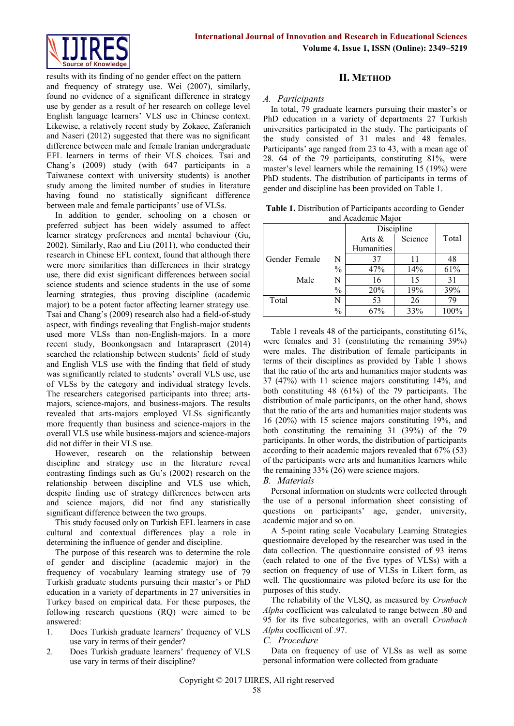

results with its finding of no gender effect on the pattern and frequency of strategy use. Wei (2007), similarly, found no evidence of a significant difference in strategy use by gender as a result of her research on college level English language learners' VLS use in Chinese context. Likewise, a relatively recent study by Zokaee, Zaferanieh and Naseri (2012) suggested that there was no significant difference between male and female Iranian undergraduate EFL learners in terms of their VLS choices. Tsai and Chang's (2009) study (with 647 participants in a Taiwanese context with university students) is another study among the limited number of studies in literature having found no statistically significant difference between male and female participants' use of VLSs.

In addition to gender, schooling on a chosen or preferred subject has been widely assumed to affect learner strategy preferences and mental behaviour (Gu, 2002). Similarly, Rao and Liu (2011), who conducted their research in Chinese EFL context, found that although there were more similarities than differences in their strategy use, there did exist significant differences between social science students and science students in the use of some learning strategies, thus proving discipline (academic major) to be a potent factor affecting learner strategy use. Tsai and Chang's (2009) research also had a field-of-study aspect, with findings revealing that English-major students used more VLSs than non-English-majors. In a more recent study, Boonkongsaen and Intaraprasert (2014) searched the relationship between students' field of study and English VLS use with the finding that field of study was significantly related to students' overall VLS use, use of VLSs by the category and individual strategy levels. The researchers categorised participants into three; artsmajors, science-majors, and business-majors. The results revealed that arts-majors employed VLSs significantly more frequently than business and science-majors in the overall VLS use while business-majors and science-majors did not differ in their VLS use.

However, research on the relationship between discipline and strategy use in the literature reveal contrasting findings such as Gu's (2002) research on the relationship between discipline and VLS use which, despite finding use of strategy differences between arts and science majors, did not find any statistically significant difference between the two groups.

This study focused only on Turkish EFL learners in case cultural and contextual differences play a role in determining the influence of gender and discipline.

The purpose of this research was to determine the role of gender and discipline (academic major) in the frequency of vocabulary learning strategy use of 79 Turkish graduate students pursuing their master's or PhD education in a variety of departments in 27 universities in Turkey based on empirical data. For these purposes, the following research questions (RQ) were aimed to be answered:

- 1. Does Turkish graduate learners' frequency of VLS use vary in terms of their gender?
- 2. Does Turkish graduate learners' frequency of VLS use vary in terms of their discipline?

## **II. METHOD**

## *A. Participants*

In total, 79 graduate learners pursuing their master's or PhD education in a variety of departments 27 Turkish universities participated in the study. The participants of the study consisted of 31 males and 48 females. Participants' age ranged from 23 to 43, with a mean age of 28. 64 of the 79 participants, constituting 81%, were master's level learners while the remaining 15 (19%) were PhD students. The distribution of participants in terms of gender and discipline has been provided on Table 1.

**Table 1.** Distribution of Participants according to Gender and Academic Major

|               |               |                   | Discipline |       |
|---------------|---------------|-------------------|------------|-------|
|               |               | Arts $\&$         | Science    | Total |
|               |               | <b>Humanities</b> |            |       |
| Gender Female | N             | 37                | 11         | 48    |
|               | $\frac{0}{0}$ | 47%               | 14%        | 61%   |
| Male          | N             | 16                | 15         | 31    |
|               | $\%$          | 20%               | 19%        | 39%   |
| Total         |               | 53                | 26         | 79    |
|               | $\frac{0}{0}$ | 67%               | 33%        | 100%  |

Table 1 reveals 48 of the participants, constituting 61%, were females and 31 (constituting the remaining 39%) were males. The distribution of female participants in terms of their disciplines as provided by Table 1 shows that the ratio of the arts and humanities major students was 37 (47%) with 11 science majors constituting 14%, and both constituting 48 (61%) of the 79 participants. The distribution of male participants, on the other hand, shows that the ratio of the arts and humanities major students was 16 (20%) with 15 science majors constituting 19%, and both constituting the remaining 31 (39%) of the 79 participants. In other words, the distribution of participants according to their academic majors revealed that 67% (53) of the participants were arts and humanities learners while the remaining 33% (26) were science majors.

## *B. Materials*

Personal information on students were collected through the use of a personal information sheet consisting of questions on participants' age, gender, university, academic major and so on.

A 5-point rating scale Vocabulary Learning Strategies questionnaire developed by the researcher was used in the data collection. The questionnaire consisted of 93 items (each related to one of the five types of VLSs) with a section on frequency of use of VLSs in Likert form, as well. The questionnaire was piloted before its use for the purposes of this study.

The reliability of the VLSQ, as measured by *Cronbach Alpha* coefficient was calculated to range between .80 and 95 for its five subcategories, with an overall *Cronbach Alpha* coefficient of .97.

#### *C. Procedure*

Data on frequency of use of VLSs as well as some personal information were collected from graduate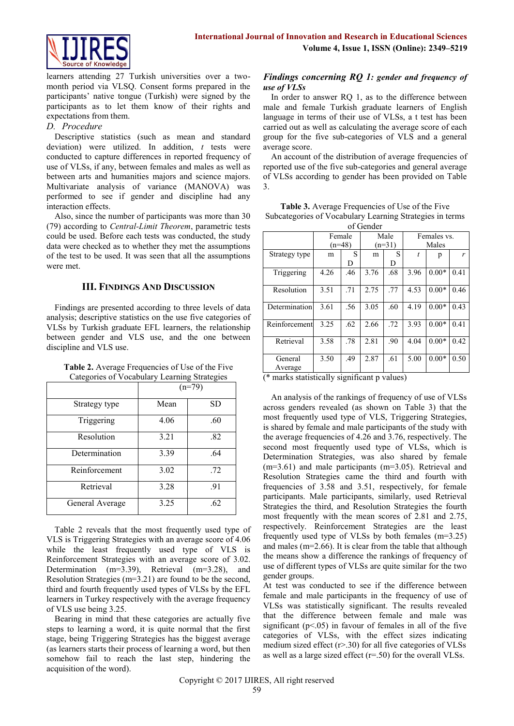learners attending 27 Turkish universities over a twomonth period via VLSQ. Consent forms prepared in the participants' native tongue (Turkish) were signed by the participants as to let them know of their rights and expectations from them.

## *D. Procedure*

Descriptive statistics (such as mean and standard deviation) were utilized. In addition, *t* tests were conducted to capture differences in reported frequency of use of VLSs, if any, between females and males as well as between arts and humanities majors and science majors. Multivariate analysis of variance (MANOVA) was performed to see if gender and discipline had any interaction effects.

Also, since the number of participants was more than 30 (79) according to *Central-Limit Theorem*, parametric tests could be used. Before each tests was conducted, the study data were checked as to whether they met the assumptions of the test to be used. It was seen that all the assumptions were met.

## **III. FINDINGS AND DISCUSSION**

Findings are presented according to three levels of data analysis; descriptive statistics on the use five categories of VLSs by Turkish graduate EFL learners, the relationship between gender and VLS use, and the one between discipline and VLS use.

**Table 2.** Average Frequencies of Use of the Five Categories of Vocabulary Learning Strategies

|                 |      | $(n=79)$  |
|-----------------|------|-----------|
| Strategy type   | Mean | <b>SD</b> |
| Triggering      | 4.06 | .60       |
| Resolution      | 3.21 | .82       |
| Determination   | 3.39 | .64       |
| Reinforcement   | 3.02 | .72       |
| Retrieval       | 3.28 | .91       |
| General Average | 3.25 | .62       |

Table 2 reveals that the most frequently used type of VLS is Triggering Strategies with an average score of 4.06 while the least frequently used type of VLS is Reinforcement Strategies with an average score of 3.02. Determination (m=3.39), Retrieval (m=3.28), and Resolution Strategies (m=3.21) are found to be the second, third and fourth frequently used types of VLSs by the EFL learners in Turkey respectively with the average frequency of VLS use being 3.25.

Bearing in mind that these categories are actually five steps to learning a word, it is quite normal that the first stage, being Triggering Strategies has the biggest average (as learners starts their process of learning a word, but then somehow fail to reach the last step, hindering the acquisition of the word).

## *Findings concerning RQ 1: gender and frequency of use of VLSs*

In order to answer RQ 1, as to the difference between male and female Turkish graduate learners of English language in terms of their use of VLSs, a t test has been carried out as well as calculating the average score of each group for the five sub-categories of VLS and a general average score.

An account of the distribution of average frequencies of reported use of the five sub-categories and general average of VLSs according to gender has been provided on Table 3.

**Table 3.** Average Frequencies of Use of the Five Subcategories of Vocabulary Learning Strategies in terms of Gender

| ui oviiuvi    |      |          |      |          |      |             |      |  |
|---------------|------|----------|------|----------|------|-------------|------|--|
|               |      | Female   |      | Male     |      | Females vs. |      |  |
|               |      | $(n=48)$ |      | $(n=31)$ |      | Males       |      |  |
| Strategy type | m    | S        | m    | S        | t    | p           | r    |  |
|               |      | D        |      | D        |      |             |      |  |
| Triggering    | 4.26 | .46      | 3.76 | .68      | 3.96 | $0.00*$     | 0.41 |  |
|               |      |          |      |          |      |             |      |  |
| Resolution    | 3.51 | .71      | 2.75 | .77      | 4.53 | $0.00*$     | 0.46 |  |
|               |      |          |      |          |      |             |      |  |
| Determination | 3.61 | .56      | 3.05 | .60      | 4.19 | $0.00*$     | 0.43 |  |
|               |      |          |      |          |      |             |      |  |
| Reinforcement | 3.25 | .62      | 2.66 | .72      | 3.93 | $0.00*$     | 0.41 |  |
|               |      |          |      |          |      |             |      |  |
| Retrieval     | 3.58 | .78      | 2.81 | .90      | 4.04 | $0.00*$     | 0.42 |  |
|               |      |          |      |          |      |             |      |  |
| General       | 3.50 | .49      | 2.87 | .61      | 5.00 | $0.00*$     | 0.50 |  |
| Average       |      |          |      |          |      |             |      |  |

(\* marks statistically significant p values)

An analysis of the rankings of frequency of use of VLSs across genders revealed (as shown on Table 3) that the most frequently used type of VLS, Triggering Strategies, is shared by female and male participants of the study with the average frequencies of 4.26 and 3.76, respectively. The second most frequently used type of VLSs, which is Determination Strategies, was also shared by female (m=3.61) and male participants (m=3.05). Retrieval and Resolution Strategies came the third and fourth with frequencies of 3.58 and 3.51, respectively, for female participants. Male participants, similarly, used Retrieval Strategies the third, and Resolution Strategies the fourth most frequently with the mean scores of 2.81 and 2.75, respectively. Reinforcement Strategies are the least frequently used type of VLSs by both females (m=3.25) and males (m=2.66). It is clear from the table that although the means show a difference the rankings of frequency of use of different types of VLSs are quite similar for the two gender groups.

At test was conducted to see if the difference between female and male participants in the frequency of use of VLSs was statistically significant. The results revealed that the difference between female and male was significant  $(p<.05)$  in favour of females in all of the five categories of VLSs, with the effect sizes indicating medium sized effect (r>.30) for all five categories of VLSs as well as a large sized effect (r=.50) for the overall VLSs.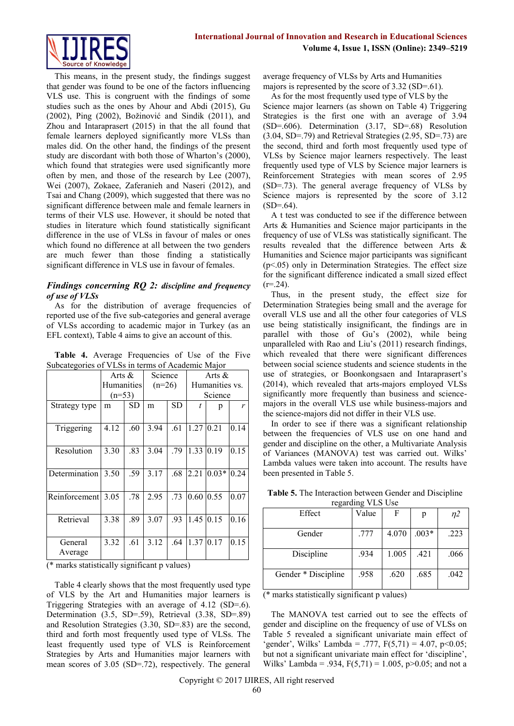

This means, in the present study, the findings suggest that gender was found to be one of the factors influencing VLS use. This is congruent with the findings of some studies such as the ones by Ahour and Abdi (2015), Gu (2002), Ping (2002), Božinović and Sindik (2011), and Zhou and Intaraprasert (2015) in that the all found that female learners deployed significantly more VLSs than males did. On the other hand, the findings of the present study are discordant with both those of Wharton's (2000), which found that strategies were used significantly more often by men, and those of the research by Lee (2007), Wei (2007), Zokaee, Zaferanieh and Naseri (2012), and Tsai and Chang (2009), which suggested that there was no significant difference between male and female learners in terms of their VLS use. However, it should be noted that studies in literature which found statistically significant difference in the use of VLSs in favour of males or ones which found no difference at all between the two genders are much fewer than those finding a statistically significant difference in VLS use in favour of females.

## *Findings concerning RQ 2: discipline and frequency of use of VLSs*

As for the distribution of average frequencies of reported use of the five sub-categories and general average of VLSs according to academic major in Turkey (as an EFL context), Table 4 aims to give an account of this.

|  | Table 4. Average Frequencies of Use of the Five  |  |  |  |
|--|--------------------------------------------------|--|--|--|
|  | Subcategories of VLSs in terms of Academic Major |  |  |  |

|               | Arts $\&$  |     | Science  |           | Arts $\&$ |                |      |
|---------------|------------|-----|----------|-----------|-----------|----------------|------|
|               | Humanities |     | $(n=26)$ |           |           | Humanities vs. |      |
|               | $(n=53)$   |     |          |           |           | Science        |      |
| Strategy type | m          | SD  | m        | <b>SD</b> | t.        | p              | r    |
|               |            |     |          |           |           |                |      |
| Triggering    | 4.12       | .60 | 3.94     | .61       | 1.27      | 0.21           | 0.14 |
|               |            |     |          |           |           |                |      |
| Resolution    | 3.30       | .83 | 3.04     | .79       | 1.33      | 0.19           | 0.15 |
|               |            |     |          |           |           |                |      |
| Determination | 3.50       | .59 | 3.17     | .68       | 2.21      | $0.03*$        | 0.24 |
|               |            |     |          |           |           |                |      |
| Reinforcement | 3.05       | .78 | 2.95     | .73       | 0.60      | 0.55           | 0.07 |
|               |            |     |          |           |           |                |      |
| Retrieval     | 3.38       | .89 | 3.07     | .93       | 1.45      | 0.15           | 0.16 |
|               |            |     |          |           |           |                |      |
| General       | 3.32       | .61 | 3.12     | .64       | 1.37      | 0.17           | 0.15 |
| Average       |            |     |          |           |           |                |      |

(\* marks statistically significant p values)

Table 4 clearly shows that the most frequently used type of VLS by the Art and Humanities major learners is Triggering Strategies with an average of 4.12 (SD=.6). Determination (3.5, SD=.59), Retrieval (3.38, SD=.89) and Resolution Strategies (3.30, SD=.83) are the second, third and forth most frequently used type of VLSs. The least frequently used type of VLS is Reinforcement Strategies by Arts and Humanities major learners with mean scores of 3.05 (SD=.72), respectively. The general

average frequency of VLSs by Arts and Humanities majors is represented by the score of 3.32 (SD=.61).

As for the most frequently used type of VLS by the Science major learners (as shown on Table 4) Triggering Strategies is the first one with an average of 3.94 (SD=.606). Determination (3.17, SD=.68) Resolution (3.04, SD=.79) and Retrieval Strategies (2.95, SD=.73) are the second, third and forth most frequently used type of VLSs by Science major learners respectively. The least frequently used type of VLS by Science major learners is Reinforcement Strategies with mean scores of 2.95 (SD=.73). The general average frequency of VLSs by Science majors is represented by the score of 3.12  $(SD=64)$ .

A t test was conducted to see if the difference between Arts & Humanities and Science major participants in the frequency of use of VLSs was statistically significant. The results revealed that the difference between Arts & Humanities and Science major participants was significant (p<.05) only in Determination Strategies. The effect size for the significant difference indicated a small sized effect  $(r=.24)$ .

Thus, in the present study, the effect size for Determination Strategies being small and the average for overall VLS use and all the other four categories of VLS use being statistically insignificant, the findings are in parallel with those of Gu's (2002), while being unparalleled with Rao and Liu's (2011) research findings, which revealed that there were significant differences between social science students and science students in the use of strategies, or Boonkongsaen and Intaraprasert's (2014), which revealed that arts-majors employed VLSs significantly more frequently than business and sciencemajors in the overall VLS use while business-majors and the science-majors did not differ in their VLS use.

In order to see if there was a significant relationship between the frequencies of VLS use on one hand and gender and discipline on the other, a Multivariate Analysis of Variances (MANOVA) test was carried out. Wilks' Lambda values were taken into account. The results have been presented in Table 5.

| Effect              | Value | F     | p       | $\eta$ 2 |
|---------------------|-------|-------|---------|----------|
| Gender              | .777  | 4.070 | $.003*$ | .223     |
| Discipline          | .934  | 1.005 | .421    | .066     |
| Gender * Discipline | .958  | .620  | .685    | .042     |

**Table 5.** The Interaction between Gender and Discipline regarding  $VI$   $C$ <sup> $I$  $I$ ge</sub></sup>

(\* marks statistically significant p values)

The MANOVA test carried out to see the effects of gender and discipline on the frequency of use of VLSs on Table 5 revealed a significant univariate main effect of 'gender', Wilks' Lambda = .777,  $F(5,71) = 4.07$ ,  $p<0.05$ ; but not a significant univariate main effect for 'discipline', Wilks' Lambda = .934,  $F(5,71) = 1.005$ , p>0.05; and not a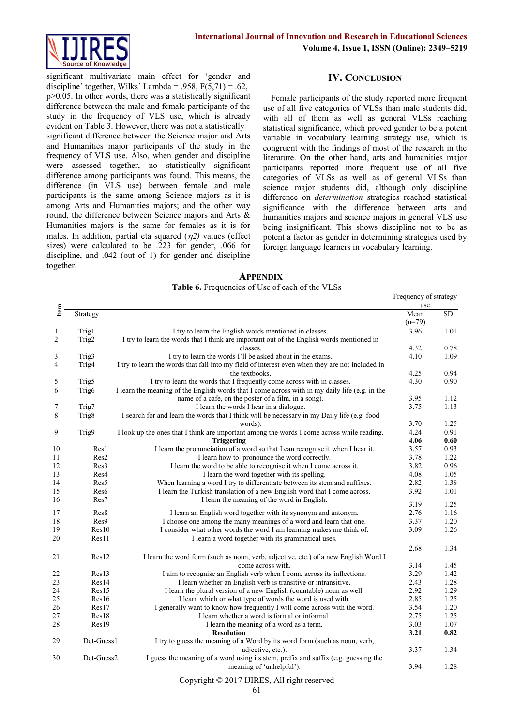

significant multivariate main effect for 'gender and discipline' together, Wilks' Lambda = .958,  $F(5,71) = .62$ , p>0.05. In other words, there was a statistically significant difference between the male and female participants of the study in the frequency of VLS use, which is already evident on Table 3. However, there was not a statistically significant difference between the Science major and Arts and Humanities major participants of the study in the frequency of VLS use. Also, when gender and discipline were assessed together, no statistically significant difference among participants was found. This means, the difference (in VLS use) between female and male participants is the same among Science majors as it is among Arts and Humanities majors; and the other way round, the difference between Science majors and Arts & Humanities majors is the same for females as it is for males. In addition, partial eta squared  $(\eta_2)$  values (effect sizes) were calculated to be .223 for gender, .066 for discipline, and .042 (out of 1) for gender and discipline together.

**IV. CONCLUSION**

Female participants of the study reported more frequent use of all five categories of VLSs than male students did, with all of them as well as general VLSs reaching statistical significance, which proved gender to be a potent variable in vocabulary learning strategy use, which is congruent with the findings of most of the research in the literature. On the other hand, arts and humanities major participants reported more frequent use of all five categories of VLSs as well as of general VLSs than science major students did, although only discipline difference on *determination* strategies reached statistical significance with the difference between arts and humanities majors and science majors in general VLS use being insignificant. This shows discipline not to be as potent a factor as gender in determining strategies used by foreign language learners in vocabulary learning.

**APPENDIX Table 6.** Frequencies of Use of each of the VLSs

|                |                   |                                                                                                 | Frequency of strategy |      |
|----------------|-------------------|-------------------------------------------------------------------------------------------------|-----------------------|------|
| Item           |                   |                                                                                                 | use                   |      |
|                | Strategy          |                                                                                                 | Mean                  | SD.  |
|                |                   |                                                                                                 | $(n=79)$              |      |
| 1              | Trig1             | I try to learn the English words mentioned in classes.                                          | 3.96                  | 1.01 |
| $\overline{c}$ | Trig2             | I try to learn the words that I think are important out of the English words mentioned in       |                       |      |
|                |                   | classes.                                                                                        | 4.32                  | 0.78 |
| 3              | Trig <sub>3</sub> | I try to learn the words I'll be asked about in the exams.                                      | 4.10                  | 1.09 |
| $\overline{4}$ | Trig4             | I try to learn the words that fall into my field of interest even when they are not included in |                       |      |
|                |                   | the textbooks.                                                                                  | 4.25                  | 0.94 |
| 5              | Trig5             | I try to learn the words that I frequently come across with in classes.                         | 4.30                  | 0.90 |
| 6              | Trig <sub>6</sub> | I learn the meaning of the English words that I come across with in my daily life (e.g. in the  |                       |      |
|                |                   | name of a cafe, on the poster of a film, in a song).                                            | 3.95                  | 1.12 |
| 7              | Trig7             | I learn the words I hear in a dialogue.                                                         | 3.75                  | 1.13 |
| 8              | Trig8             | I search for and learn the words that I think will be necessary in my Daily life (e.g. food     |                       |      |
|                |                   | words).                                                                                         | 3.70                  | 1.25 |
| 9              | Trig9             | I look up the ones that I think are important among the words I come across while reading.      | 4.24                  | 0.91 |
|                |                   | <b>Triggering</b>                                                                               | 4.06                  | 0.60 |
| 10             | Res1              | I learn the pronunciation of a word so that I can recognise it when I hear it.                  | 3.57                  | 0.93 |
| 11             | Res2              | I learn how to pronounce the word correctly.                                                    | 3.78                  | 1.22 |
| 12             | Res3              | I learn the word to be able to recognise it when I come across it.                              | 3.82                  | 0.96 |
| 13             | Res4              | I learn the word together with its spelling.                                                    | 4.08                  | 1.05 |
| 14             | Res <sub>5</sub>  | When learning a word I try to differentiate between its stem and suffixes.                      | 2.82                  | 1.38 |
| 15             | Res6              | I learn the Turkish translation of a new English word that I come across.                       | 3.92                  | 1.01 |
| 16             | Res7              | I learn the meaning of the word in English.                                                     | 3.19                  | 1.25 |
| 17             | Res8              | I learn an English word together with its synonym and antonym.                                  | 2.76                  | 1.16 |
| 18             | Res9              | I choose one among the many meanings of a word and learn that one.                              | 3.37                  | 1.20 |
| 19             | Res10             | I consider what other words the word I am learning makes me think of.                           | 3.09                  | 1.26 |
| 20             | Res11             | I learn a word together with its grammatical uses.                                              |                       |      |
|                |                   |                                                                                                 |                       |      |
|                |                   |                                                                                                 | 2.68                  | 1.34 |
| 21             | Res12             | I learn the word form (such as noun, verb, adjective, etc.) of a new English Word I             |                       |      |
|                |                   | come across with.                                                                               | 3.14                  | 1.45 |
| 22             | Res13             | I aim to recognise an English verb when I come across its inflections.                          | 3.29                  | 1.42 |
| 23             | Res14             | I learn whether an English verb is transitive or intransitive.                                  | 2.43                  | 1.28 |
| 24             | Res15             | I learn the plural version of a new English (countable) noun as well.                           | 2.92                  | 1.29 |
| 25             | Res16             | I learn which or what type of words the word is used with.                                      | 2.85                  | 1.25 |
| 26             | Res17             | I generally want to know how frequently I will come across with the word.                       | 3.54                  | 1.20 |
| 27             | Res18             | I learn whether a word is formal or informal.                                                   | 2.75                  | 1.25 |
| 28             | Res19             | I learn the meaning of a word as a term.                                                        | 3.03                  | 1.07 |
|                |                   | <b>Resolution</b>                                                                               | 3.21                  | 0.82 |
| 29             | Det-Guess1        | I try to guess the meaning of a Word by its word form (such as noun, verb,                      |                       |      |
|                |                   | adjective, etc.).                                                                               | 3.37                  | 1.34 |
| 30             | Det-Guess2        | I guess the meaning of a word using its stem, prefix and suffix (e.g. guessing the              |                       |      |
|                |                   | meaning of 'unhelpful').                                                                        | 3.94                  | 1.28 |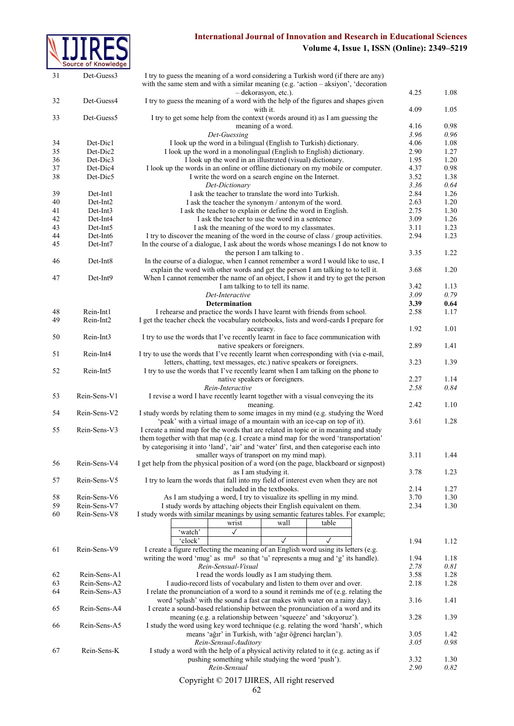## **International Journal of Innovation and Research in Educational Sciences**



## **Volume 4, Issue 1, ISSN (Online): 2349–5219**

| 31 | Det-Guess3           | I try to guess the meaning of a word considering a Turkish word (if there are any)<br>with the same stem and with a similar meaning $(e.g. 'action - aksiyon', 'decoration'$ |      |      |
|----|----------------------|------------------------------------------------------------------------------------------------------------------------------------------------------------------------------|------|------|
|    |                      | - dekorasyon, etc.).                                                                                                                                                         | 4.25 | 1.08 |
| 32 | Det-Guess4           | I try to guess the meaning of a word with the help of the figures and shapes given<br>with it.                                                                               | 4.09 | 1.05 |
| 33 | Det-Guess5           | I try to get some help from the context (words around it) as I am guessing the                                                                                               |      |      |
|    |                      | meaning of a word.                                                                                                                                                           | 4.16 | 0.98 |
|    |                      | Det-Guessing                                                                                                                                                                 | 3.96 | 0.96 |
| 34 | Det-Dic1             | I look up the word in a bilingual (English to Turkish) dictionary.                                                                                                           | 4.06 | 1.08 |
| 35 | Det-Dic2             | I look up the word in a monolingual (English to English) dictionary.                                                                                                         | 2.90 | 1.27 |
| 36 | Det-Dic3             | I look up the word in an illustrated (visual) dictionary.                                                                                                                    | 1.95 | 1.20 |
| 37 | Det-Dic4             | I look up the words in an online or offline dictionary on my mobile or computer.                                                                                             | 4.37 | 0.98 |
| 38 | Det-Dic5             | I write the word on a search engine on the Internet.                                                                                                                         | 3.52 | 1.38 |
|    |                      | Det-Dictionary                                                                                                                                                               | 3.36 | 0.64 |
| 39 | Det-Int1             | I ask the teacher to translate the word into Turkish.                                                                                                                        | 2.84 | 1.26 |
|    |                      |                                                                                                                                                                              |      |      |
| 40 | Det-Int <sub>2</sub> | I ask the teacher the synonym / antonym of the word.                                                                                                                         | 2.63 | 1.20 |
| 41 | Det-Int3             | I ask the teacher to explain or define the word in English.                                                                                                                  | 2.75 | 1.30 |
| 42 | Det-Int4             | I ask the teacher to use the word in a sentence                                                                                                                              | 3.09 | 1.26 |
| 43 | Det-Int5             | I ask the meaning of the word to my classmates.                                                                                                                              | 3.11 | 1.23 |
| 44 | Det-Int <sub>6</sub> | I try to discover the meaning of the word in the course of class / group activities.                                                                                         | 2.94 | 1.23 |
| 45 | Det-Int7             | In the course of a dialogue, I ask about the words whose meanings I do not know to                                                                                           |      |      |
|    |                      | the person I am talking to.                                                                                                                                                  | 3.35 | 1.22 |
| 46 | Det-Int8             | In the course of a dialogue, when I cannot remember a word I would like to use, I                                                                                            |      |      |
|    |                      | explain the word with other words and get the person I am talking to to tell it.                                                                                             | 3.68 | 1.20 |
|    |                      |                                                                                                                                                                              |      |      |
| 47 | Det-Int9             | When I cannot remember the name of an object, I show it and try to get the person                                                                                            |      |      |
|    |                      | I am talking to to tell its name.                                                                                                                                            | 3.42 | 1.13 |
|    |                      | Det-Interactive                                                                                                                                                              | 3.09 | 0.79 |
|    |                      | <b>Determination</b>                                                                                                                                                         | 3.39 | 0.64 |
| 48 | Rein-Int1            | I rehearse and practice the words I have learnt with friends from school.                                                                                                    | 2.58 | 1.17 |
| 49 | Rein-Int2            | I get the teacher check the vocabulary notebooks, lists and word-cards I prepare for                                                                                         |      |      |
|    |                      | accuracy.                                                                                                                                                                    | 1.92 | 1.01 |
| 50 | Rein-Int3            | I try to use the words that I've recently learnt in face to face communication with                                                                                          |      |      |
|    |                      |                                                                                                                                                                              |      |      |
|    |                      | native speakers or foreigners.                                                                                                                                               | 2.89 | 1.41 |
| 51 | Rein-Int4            | I try to use the words that I've recently learnt when corresponding with (via e-mail,                                                                                        |      |      |
|    |                      | letters, chatting, text messages, etc.) native speakers or foreigners.                                                                                                       | 3.23 | 1.39 |
| 52 | Rein-Int5            | I try to use the words that I've recently learnt when I am talking on the phone to                                                                                           |      |      |
|    |                      | native speakers or foreigners.                                                                                                                                               | 2.27 | 1.14 |
|    |                      | Rein-Interactive                                                                                                                                                             | 2.58 | 0.84 |
| 53 | Rein-Sens-V1         | I revise a word I have recently learnt together with a visual conveying the its                                                                                              |      |      |
|    |                      |                                                                                                                                                                              | 2.42 | 1.10 |
|    |                      | meaning.                                                                                                                                                                     |      |      |
| 54 | Rein-Sens-V2         | I study words by relating them to some images in my mind (e.g. studying the Word                                                                                             |      |      |
|    |                      | 'peak' with a virtual image of a mountain with an ice-cap on top of it).                                                                                                     | 3.61 | 1.28 |
| 55 | Rein-Sens-V3         | I create a mind map for the words that are related in topic or in meaning and study                                                                                          |      |      |
|    |                      | them together with that map (e.g. I create a mind map for the word 'transportation'                                                                                          |      |      |
|    |                      | by categorising it into 'land', 'air' and 'water' first, and then categorise each into                                                                                       |      |      |
|    |                      | smaller ways of transport on my mind map).                                                                                                                                   | 3.11 | 1.44 |
| 56 | Rein-Sens-V4         | I get help from the physical position of a word (on the page, blackboard or signpost)                                                                                        |      |      |
|    |                      | as I am studying it.                                                                                                                                                         | 3.78 | 1.23 |
|    |                      | I try to learn the words that fall into my field of interest even when they are not                                                                                          |      |      |
| 57 | Rein-Sens-V5         |                                                                                                                                                                              |      |      |
|    |                      | included in the textbooks.                                                                                                                                                   | 2.14 | 1.27 |
| 58 | Rein-Sens-V6         | As I am studying a word, I try to visualize its spelling in my mind.                                                                                                         | 3.70 | 1.30 |
| 59 | Rein-Sens-V7         | I study words by attaching objects their English equivalent on them.                                                                                                         | 2.34 | 1.30 |
| 60 | Rein-Sens-V8         | I study words with similar meanings by using semantic features tables. For example;                                                                                          |      |      |
|    |                      | wrist<br>wall<br>table                                                                                                                                                       |      |      |
|    |                      | 'watch'<br>$\checkmark$                                                                                                                                                      |      |      |
|    |                      | 'clock'<br>$\checkmark$                                                                                                                                                      | 1.94 | 1.12 |
|    |                      |                                                                                                                                                                              |      |      |
| 61 | Rein-Sens-V9         | I create a figure reflecting the meaning of an English word using its letters (e.g.                                                                                          |      |      |
|    |                      | writing the word 'mug' as mv <sup>g</sup> so that 'u' represents a mug and 'g' its handle).                                                                                  | 1.94 | 1.18 |
|    |                      | Rein-Sensual-Visual                                                                                                                                                          | 2.78 | 0.81 |
| 62 | Rein-Sens-A1         | I read the words loudly as I am studying them.                                                                                                                               | 3.58 | 1.28 |
| 63 | Rein-Sens-A2         | I audio-record lists of vocabulary and listen to them over and over.                                                                                                         | 2.18 | 1.28 |
| 64 | Rein-Sens-A3         | I relate the pronunciation of a word to a sound it reminds me of (e.g. relating the                                                                                          |      |      |
|    |                      | word 'splash' with the sound a fast car makes with water on a rainy day).                                                                                                    | 3.16 | 1.41 |
| 65 | Rein-Sens-A4         |                                                                                                                                                                              |      |      |
|    |                      | I create a sound-based relationship between the pronunciation of a word and its                                                                                              |      |      |
|    |                      | meaning (e.g. a relationship between 'squeeze' and 'sikiyoruz').                                                                                                             | 3.28 | 1.39 |
| 66 | Rein-Sens-A5         | I study the word using key word technique (e.g. relating the word 'harsh', which                                                                                             |      |      |
|    |                      | means 'ağır' in Turkish, with 'ağır öğrenci harçları').                                                                                                                      | 3.05 | 1.42 |
|    |                      | Rein-Sensual-Auditory                                                                                                                                                        | 3.05 | 0.98 |
| 67 | Rein-Sens-K          | I study a word with the help of a physical activity related to it (e.g. acting as if                                                                                         |      |      |
|    |                      | pushing something while studying the word 'push').                                                                                                                           | 3.32 | 1.30 |
|    |                      | Rein-Sensual                                                                                                                                                                 | 2.90 | 0.82 |
|    |                      |                                                                                                                                                                              |      |      |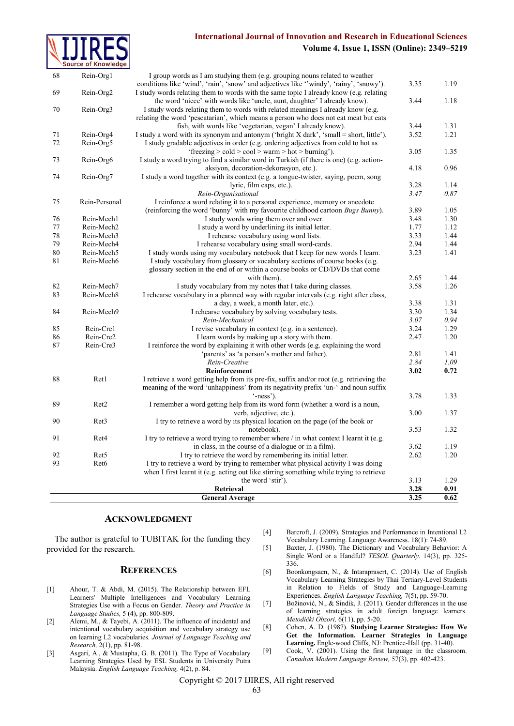## **International Journal of Innovation and Research in Educational Sciences Volume 4, Issue 1, ISSN (Online): 2349–5219**



| 68 | Rein-Org1        | I group words as I am studying them (e.g. grouping nouns related to weather              |              |              |
|----|------------------|------------------------------------------------------------------------------------------|--------------|--------------|
|    |                  | conditions like 'wind', 'rain', 'snow' and adjectives like ''windy', 'rainy', 'snowy').  | 3.35         | 1.19         |
| 69 | Rein-Org2        | I study words relating them to words with the same topic I already know (e.g. relating   |              |              |
|    |                  | the word 'niece' with words like 'uncle, aunt, daughter' I already know).                | 3.44         | 1.18         |
| 70 | Rein-Org3        | I study words relating them to words with related meanings I already know (e.g.          |              |              |
|    |                  | relating the word 'pescatarian', which means a person who does not eat meat but eats     |              |              |
|    |                  | fish, with words like 'vegetarian, vegan' I already know).                               | 3.44         | 1.31         |
| 71 | Rein-Org4        | I study a word with its synonym and antonym ('bright X dark', 'small = short, little').  | 3.52         | 1.21         |
| 72 | Rein-Org5        | I study gradable adjectives in order (e.g. ordering adjectives from cold to hot as       |              |              |
|    |                  | 'freezing $>$ cold $>$ cool $>$ warm $>$ hot $>$ burning').                              | 3.05         | 1.35         |
| 73 | Rein-Org6        | I study a word trying to find a similar word in Turkish (if there is one) (e.g. action-  |              |              |
|    |                  | aksiyon, decoration-dekorasyon, etc.).                                                   | 4.18         | 0.96         |
| 74 | Rein-Org7        | I study a word together with its context (e.g. a tongue-twister, saying, poem, song      |              |              |
|    |                  | lyric, film caps, etc.).                                                                 | 3.28         | 1.14         |
|    |                  | Rein-Organisational                                                                      | 3.47         | 0.87         |
| 75 | Rein-Personal    | I reinforce a word relating it to a personal experience, memory or anecdote              |              |              |
|    |                  | (reinforcing the word 'bunny' with my favourite childhood cartoon <i>Bugs Bunny</i> ).   | 3.89         | 1.05         |
| 76 | Rein-Mech1       | I study words wring them over and over.                                                  | 3.48         | 1.30         |
| 77 | Rein-Mech2       | I study a word by underlining its initial letter.                                        | 1.77         | 1.12         |
| 78 | Rein-Mech3       | I rehearse vocabulary using word lists.                                                  | 3.33         | 1.44         |
| 79 | Rein-Mech4       | I rehearse vocabulary using small word-cards.                                            | 2.94         | 1.44         |
| 80 | Rein-Mech5       | I study words using my vocabulary notebook that I keep for new words I learn.            | 3.23         | 1.41         |
| 81 | Rein-Mech6       | I study vocabulary from glossary or vocabulary sections of course books (e.g.            |              |              |
|    |                  | glossary section in the end of or within a course books or CD/DVDs that come             |              |              |
|    |                  | with them).                                                                              | 2.65         | 1.44         |
| 82 | Rein-Mech7       | I study vocabulary from my notes that I take during classes.                             | 3.58         | 1.26         |
| 83 | Rein-Mech8       | I rehearse vocabulary in a planned way with regular intervals (e.g. right after class,   |              |              |
|    |                  | a day, a week, a month later, etc.).                                                     | 3.38         | 1.31         |
| 84 | Rein-Mech9       | I rehearse vocabulary by solving vocabulary tests.                                       | 3.30<br>3.07 | 1.34         |
|    |                  | Rein-Mechanical                                                                          |              | 0.94         |
| 85 | Rein-Cre1        | I revise vocabulary in context (e.g. in a sentence).                                     | 3.24         | 1.29         |
| 86 | Rein-Cre2        | I learn words by making up a story with them.                                            | 2.47         | 1.20         |
| 87 | Rein-Cre3        | I reinforce the word by explaining it with other words (e.g. explaining the word         |              |              |
|    |                  | 'parents' as 'a person's mother and father).                                             | 2.81         | 1.41         |
|    |                  | Rein-Creative<br>Reinforcement                                                           | 2.84<br>3.02 | 1.09<br>0.72 |
| 88 | Ret1             | I retrieve a word getting help from its pre-fix, suffix and/or root (e.g. retrieving the |              |              |
|    |                  | meaning of the word 'unhappiness' from its negativity prefix 'un-' and noun suffix       |              |              |
|    |                  | $'$ -ness').                                                                             | 3.78         | 1.33         |
| 89 | Ret <sub>2</sub> | I remember a word getting help from its word form (whether a word is a noun,             |              |              |
|    |                  | verb, adjective, etc.).                                                                  | 3.00         | 1.37         |
| 90 | Ret <sub>3</sub> | I try to retrieve a word by its physical location on the page (of the book or            |              |              |
|    |                  | notebook).                                                                               | 3.53         | 1.32         |
| 91 | Ret <sub>4</sub> | I try to retrieve a word trying to remember where / in what context I learnt it (e.g.    |              |              |
|    |                  | in class, in the course of a dialogue or in a film).                                     | 3.62         | 1.19         |
| 92 | Ret <sub>5</sub> | I try to retrieve the word by remembering its initial letter.                            | 2.62         | 1.20         |
| 93 | Ret <sub>6</sub> | I try to retrieve a word by trying to remember what physical activity I was doing        |              |              |
|    |                  | when I first learnt it (e.g. acting out like stirring something while trying to retrieve |              |              |
|    |                  | the word 'stir').                                                                        | 3.13         | 1.29         |
|    |                  | Retrieval                                                                                | 3.28         | 0.91         |
|    |                  | <b>General Average</b>                                                                   | 3.25         | 0.62         |
|    |                  |                                                                                          |              |              |

#### **ACKNOWLEDGMENT**

The author is grateful to TUBITAK for the funding they provided for the research.

## **REFERENCES**

- [1] Ahour, T. & Abdi, M. (2015). The Relationship between EFL Learners' Multiple Intelligences and Vocabulary Learning Strategies Use with a Focus on Gender. *Theory and Practice in Language Studies,* 5 (4), pp. 800-809.
- [2] Alemi, M., & Tayebi, A. (2011). The influence of incidental and intentional vocabulary acquisition and vocabulary strategy use on learning L2 vocabularies. *Journal of Language Teaching and Research,* 2(1), pp. 81-98.
- [3] Asgari, A., & Mustapha, G. B. (2011). The Type of Vocabulary Learning Strategies Used by ESL Students in University Putra Malaysia. *English Language Teaching,* 4(2), p. 84.

[4] Barcroft, J. (2009). Strategies and Performance in Intentional L2 Vocabulary Learning. Language Awareness. 18(1): 74-89.

- [5] Baxter, J. (1980). The Dictionary and Vocabulary Behavior: A Single Word or a Handful? *TESOL Quarterly.* 14(3), pp. 325- 336.
- [6] Boonkongsaen, N., & Intaraprasert, C. (2014). Use of English Vocabulary Learning Strategies by Thai Tertiary-Level Students in Relation to Fields of Study and Language-Learning Experiences. *English Language Teaching,* 7(5), pp. 59-70.
- [7] Božinović, N., & Sindik, J. (2011). Gender differences in the use of learning strategies in adult foreign language learners. *Metodički Obzori,* 6(11), pp. 5-20.
- [8] Cohen, A. D. (1987). **Studying Learner Strategies: How We Get the Information. Learner Strategies in Language Learning.** Engle-wood Cliffs, NJ: Prentice-Hall (pp. 31-40).
- [9] Cook, V. (2001). Using the first language in the classroom. *Canadian Modern Language Review,* 57(3), pp. 402-423.